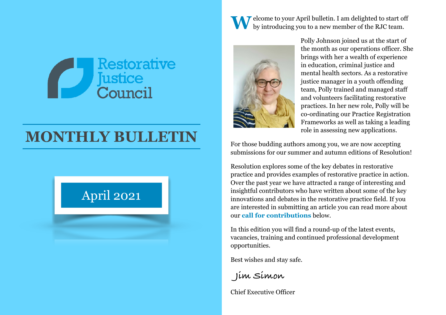

# **MONTHLY BULLETIN**

# April 2021

Welcome to your April bulletin. I am delighted to start off by introducing you to a new member of the RJC team.



Polly Johnson joined us at the start of the month as our operations officer. She brings with her a wealth of experience in education, criminal justice and mental health sectors. As a restorative justice manager in a youth offending team, Polly trained and managed staff and volunteers facilitating restorative practices. In her new role, Polly will be co-ordinating our Practice Registration Frameworks as well as taking a leading role in assessing new applications.

For those budding authors among you, we are now accepting submissions for our summer and autumn editions of Resolution!

Resolution explores some of the key debates in restorative practice and provides examples of restorative practice in action. Over the past year we have attracted a range of interesting and insightful contributors who have written about some of the key innovations and debates in the restorative practice field. If you are interested in submitting an article you can read more about our **[call for contributions](#page-2-0)** below.

In this edition you will find a round-up of the latest events, vacancies, training and continued professional development opportunities.

Best wishes and stay safe.

 **Jim Simon**

Chief Executive Officer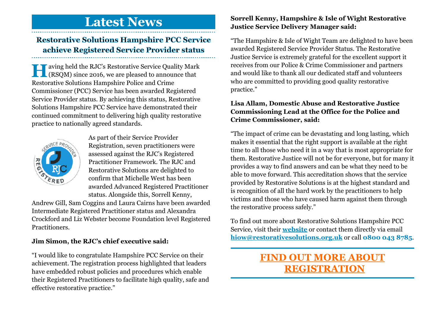## **Latest News**

#### **Restorative Solutions Hampshire PCC Service achieve Registered Service Provider status**

**H**aving held the RJC's Restorative Service Quality Mark (RSQM) since 2016, we are pleased to announce that Restorative Solutions Hampshire Police and Crime Commissioner (PCC) Service has been awarded Registered Service Provider status. By achieving this status, Restorative Solutions Hampshire PCC Service have demonstrated their continued commitment to delivering high quality restorative practice to nationally agreed standards.



As part of their Service Provider Registration, seven practitioners were assessed against the RJC's Registered Practitioner Framework. The RJC and Restorative Solutions are delighted to confirm that Michelle West has been awarded Advanced Registered Practitioner status. Alongside this, Sorrell Kenny,

Andrew Gill, Sam Coggins and Laura Cairns have been awarded Intermediate Registered Practitioner status and Alexandra Crockford and Liz Webster become Foundation level Registered Practitioners.

#### **Jim Simon, the RJC's chief executive said:**

"I would like to congratulate Hampshire PCC Service on their achievement. The registration process highlighted that leaders have embedded robust policies and procedures which enable their Registered Practitioners to facilitate high quality, safe and effective restorative practice."

#### **Sorrell Kenny, Hampshire & Isle of Wight Restorative Justice Service Delivery Manager said:**

"The Hampshire & Isle of Wight Team are delighted to have been awarded Registered Service Provider Status. The Restorative Justice Service is extremely grateful for the excellent support it receives from our Police & Crime Commissioner and partners and would like to thank all our dedicated staff and volunteers who are committed to providing good quality restorative practice."

#### **Lisa Allam, Domestic Abuse and Restorative Justice Commissioning Lead at the Office for the Police and Crime Commissioner, said:**

"The impact of crime can be devastating and long lasting, which makes it essential that the right support is available at the right time to all those who need it in a way that is most appropriate for them. Restorative Justice will not be for everyone, but for many it provides a way to find answers and can be what they need to be able to move forward. This accreditation shows that the service provided by Restorative Solutions is at the highest standard and is recognition of all the hard work by the practitioners to help victims and those who have caused harm against them through the restorative process safely."

To find out more about Restorative Solutions Hampshire PCC Service, visit their **[website](https://www.rjhampshire.org.uk)** or contact them directly via email **[hiow@restorativesolutions.org.uk](mailto:hiow@restorativesolutions.org.uk)** or call **0800 043 8785**.

### **[FIND OUT MORE ABOUT](https://restorativejustice.org.uk/practice-registration)  [REGISTRATION](https://restorativejustice.org.uk/practice-registration)**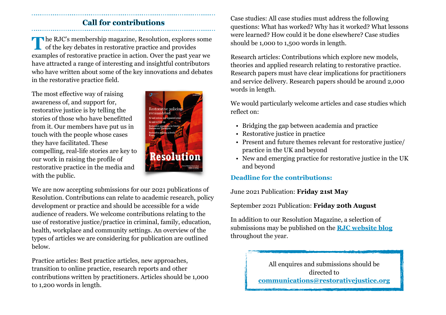#### <span id="page-2-0"></span>**Call for contributions**

**T**he RJC's membership magazine, Resolution, explores some of the key debates in restorative practice and provides examples of restorative practice in action. Over the past year we have attracted a range of interesting and insightful contributors who have written about some of the key innovations and debates in the restorative practice field.

The most effective way of raising awareness of, and support for, restorative justice is by telling the stories of those who have benefitted from it. Our members have put us in touch with the people whose cases they have facilitated. These compelling, real-life stories are key to our work in raising the profile of restorative practice in the media and with the public.



We are now accepting submissions for our 2021 publications of Resolution. Contributions can relate to academic research, policy development or practice and should be accessible for a wide audience of readers. We welcome contributions relating to the use of restorative justice/practice in criminal, family, education, health, workplace and community settings. An overview of the types of articles we are considering for publication are outlined below.

Practice articles: Best practice articles, new approaches, transition to online practice, research reports and other contributions written by practitioners. Articles should be 1,000 to 1,200 words in length.

Case studies: All case studies must address the following questions: What has worked? Why has it worked? What lessons were learned? How could it be done elsewhere? Case studies should be 1,000 to 1,500 words in length.

Research articles: Contributions which explore new models, theories and applied research relating to restorative practice. Research papers must have clear implications for practitioners and service delivery. Research papers should be around 2,000 words in length.

We would particularly welcome articles and case studies which reflect on:

- Bridging the gap between academia and practice
- Restorative justice in practice
- Present and future themes relevant for restorative justice/ practice in the UK and beyond
- New and emerging practice for restorative justice in the UK and beyond

#### **Deadline for the contributions:**

June 2021 Publication: **Friday 21st May** 

September 2021 Publication: **Friday 20th August** 

In addition to our Resolution Magazine, a selection of submissions may be published on the **[RJC website blog](https://restorativejustice.org.uk/resolution-online)** throughout the year.

> All enquires and submissions should be directed to **[communications@restorativejustice.org](mailto:communications@restorativejustice.org.uk)**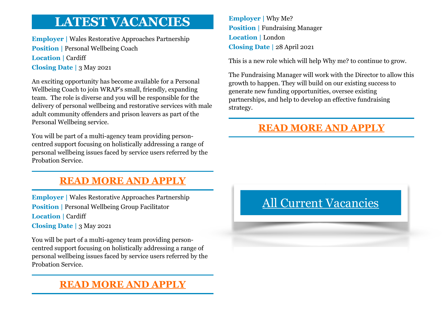# **LATEST VACANCIES**

**Employer |** Wales Restorative Approaches Partnership **Position | Personal Wellbeing Coach Location | Cardiff Closing Date |** 3 May 2021

An exciting opportunity has become available for a Personal Wellbeing Coach to join WRAP's small, friendly, expanding team. The role is diverse and you will be responsible for the delivery of personal wellbeing and restorative services with male adult community offenders and prison leavers as part of the Personal Wellbeing service.

You will be part of a multi-agency team providing personcentred support focusing on holistically addressing a range of personal wellbeing issues faced by service users referred by the Probation Service.

### **[READ MORE AND APPLY](https://restorativejustice.org.uk/news/personal-wellbeing-coach)**

**Employer |** Wales Restorative Approaches Partnership **Position | Personal Wellbeing Group Facilitator Location | Cardiff Closing Date |** 3 May 2021

You will be part of a multi-agency team providing personcentred support focusing on holistically addressing a range of personal wellbeing issues faced by service users referred by the Probation Service.

### **[READ MORE AND APPLY](https://restorativejustice.org.uk/news/personal-wellbeing-group-facilitator)**

**Employer |** Why Me? **Position | Fundraising Manager Location |** London **Closing Date |** 28 April 2021

This is a new role which will help Why me? to continue to grow.

The Fundraising Manager will work with the Director to allow this growth to happen. They will build on our existing success to generate new funding opportunities, oversee existing partnerships, and help to develop an effective fundraising strategy.

### **[READ MORE AND APPLY](https://restorativejustice.org.uk/news/fundraising-manager)**

# [All Current Vacancies](https://restorativejustice.org.uk/vacancies)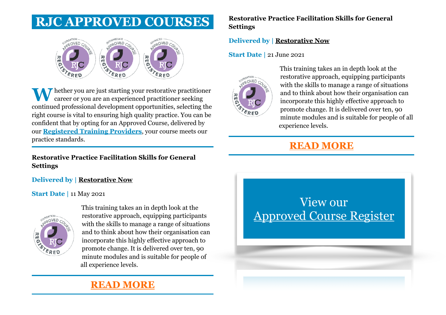# **RJC APPROVED COURSES**



**T** hether you are just starting your restorative practitioner career or you are an experienced practitioner seeking continued professional development opportunities, selecting the right course is vital to ensuring high quality practice. You can be confident that by opting for an Approved Course, delivered by our **[Registered Training Providers](https://restorativejustice.org.uk/registered-training-providers)**, your course meets our practice standards.

#### **Restorative Practice Facilitation Skills for General Settings**

**Delivered by | [Restorative Now](https://restorativejustice.org.uk/trainers-register/1699)**

#### **Start Date |** 11 May 2021



This training takes an in depth look at the restorative approach, equipping participants with the skills to manage a range of situations and to think about how their organisation can incorporate this highly effective approach to promote change. It is delivered over ten, 90 minute modules and is suitable for people of all experience levels.

### **[READ MORE](https://restorativejustice.org.uk/civicrm/event/info?id=460&reset=1)**

#### **Restorative Practice Facilitation Skills for General Settings**

#### **Delivered by | [Restorative Now](https://restorativejustice.org.uk/trainers-register/1699)**

#### **Start Date |** 21 June 2021



This training takes an in depth look at the restorative approach, equipping participants with the skills to manage a range of situations and to think about how their organisation can incorporate this highly effective approach to promote change. It is delivered over ten, 90 minute modules and is suitable for people of all experience levels.

### **[READ MORE](https://restorativejustice.org.uk/civicrm/event/info?id=471&reset=1)**

# View our [Approved Course Register](https://restorativejustice.org.uk/approved-training-courses)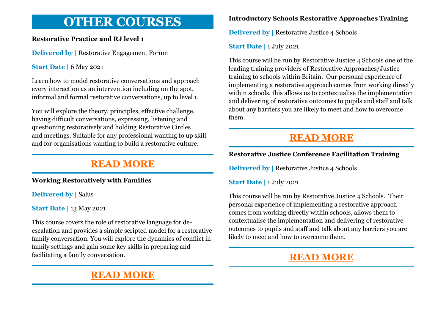# **OTHER COURSES**

#### **Restorative Practice and RJ level 1**

**Delivered by | Restorative Engagement Forum** 

#### **Start Date | 6 May 2021**

Learn how to model restorative conversations and approach every interaction as an intervention including on the spot, informal and formal restorative conversations, up to level 1.

You will explore the theory, principles, effective challenge, having difficult conversations, expressing, listening and questioning restoratively and holding Restorative Circles and meetings. Suitable for any professional wanting to up skill and for organisations wanting to build a restorative culture.

### **[READ MORE](https://restorativejustice.org.uk/civicrm/event/info?id=448&reset=1)**

#### **Working Restoratively with Families**

**Delivered by | Salus** 

**Start Date |** 13 May 2021

This course covers the role of restorative language for deescalation and provides a simple scripted model for a restorative family conversation. You will explore the dynamics of conflict in family settings and gain some key skills in preparing and facilitating a family conversation.

### **[READ MORE](https://restorativejustice.org.uk/civicrm/event/info?id=462&reset=1)**

#### **Introductory Schools Restorative Approaches Training**

**Delivered by | Restorative Justice 4 Schools** 

**Start Date |** 1 July 2021

This course will be run by Restorative Justice 4 Schools one of the leading training providers of Restorative Approaches/Justice training to schools within Britain. Our personal experience of implementing a restorative approach comes from working directly within schools, this allows us to contextualise the implementation and delivering of restorative outcomes to pupils and staff and talk about any barriers you are likely to meet and how to overcome them.

### **[READ MORE](https://restorativejustice.org.uk/civicrm/event/info?id=442&reset=1)**

#### **Restorative Justice Conference Facilitation Training**

**Delivered by | Restorative Justice 4 Schools** 

**Start Date |** 1 July 2021

This course will be run by Restorative Justice 4 Schools. Their personal experience of implementing a restorative approach comes from working directly within schools, allows them to contextualise the implementation and delivering of restorative outcomes to pupils and staff and talk about any barriers you are likely to meet and how to overcome them.

### **[READ MORE](https://restorativejustice.org.uk/civicrm/event/info?id=459&reset=1)**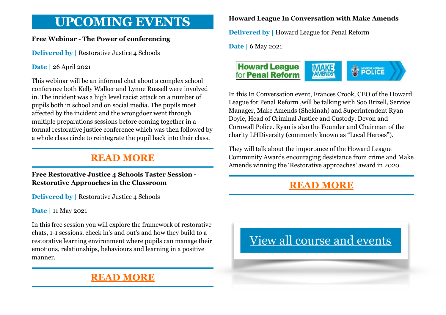# **UPCOMING EVENTS**

#### **Free Webinar - The Power of conferencing**

**Delivered by | Restorative Justice 4 Schools** 

#### **Date |** 26 April 2021

This webinar will be an informal chat about a complex school conference both Kelly Walker and Lynne Russell were involved in. The incident was a high level racist attack on a number of pupils both in school and on social media. The pupils most affected by the incident and the wrongdoer went through multiple preparations sessions before coming together in a formal restorative justice conference which was then followed by a whole class circle to reintegrate the pupil back into their class.

### **[READ MORE](https://restorativejustice.org.uk/civicrm/event/info?id=455&reset=1)**

#### **Free Restorative Justice 4 Schools Taster Session - Restorative Approaches in the Classroom**

**Delivered by | Restorative Justice 4 Schools** 

**Date |** 11 May 2021

In this free session you will explore the framework of restorative chats, 1-1 sessions, check in's and out's and how they build to a restorative learning environment where pupils can manage their emotions, relationships, behaviours and learning in a positive manner.

### **[READ MORE](https://restorativejustice.org.uk/civicrm/event/info?id=464&reset=1)**

#### **Howard League In Conversation with Make Amends**

**Delivered by |** Howard League for Penal Reform

**Date |** 6 May 2021



In this In Conversation event, Frances Crook, CEO of the Howard League for Penal Reform ,will be talking with Soo Brizell, Service Manager, Make Amends (Shekinah) and Superintendent Ryan Doyle, Head of Criminal Justice and Custody, Devon and Cornwall Police. Ryan is also the Founder and Chairman of the charity LHDiversity (commonly known as "Local Heroes").

They will talk about the importance of the Howard League Community Awards encouraging desistance from crime and Make Amends winning the 'Restorative approaches' award in 2020.

### **[READ MORE](https://howardleague.org/events/howard-league-in-conversation-with-make-amends/)**

# [View all course and events](https://restorativejustice.org.uk/events)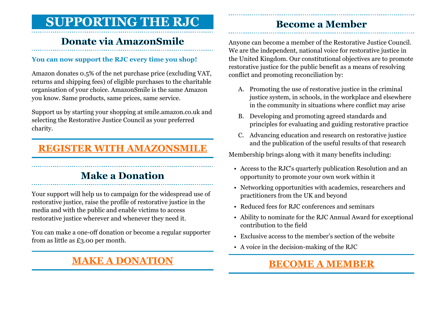# **SUPPORTING THE RJC**

### **Donate via AmazonSmile**

#### **You can now support the RJC every time you shop!**

Amazon donates 0.5% of the net purchase price (excluding VAT, returns and shipping fees) of eligible purchases to the charitable organisation of your choice. AmazonSmile is the same Amazon you know. Same products, same prices, same service.

Support us by starting your shopping at smile.amazon.co.uk and selecting the Restorative Justice Council as your preferred charity.

### **[REGISTER WITH AMAZONSMILE](http://smile.amazon.co.uk)**

### **Make a Donation**

Your support will help us to campaign for the widespread use of restorative justice, raise the profile of restorative justice in the media and with the public and enable victims to access restorative justice wherever and whenever they need it.

You can make a one-off donation or become a regular supporter from as little as £3.00 per month.

### **[MAKE A DONATION](https://restorativejustice.org.uk/donation)**

### **Become a Member**

Anyone can become a member of the Restorative Justice Council. We are the independent, national voice for restorative justice in the United Kingdom. Our constitutional objectives are to promote restorative justice for the public benefit as a means of resolving conflict and promoting reconciliation by:

- A. Promoting the use of restorative justice in the criminal justice system, in schools, in the workplace and elsewhere in the community in situations where conflict may arise
- B. Developing and promoting agreed standards and principles for evaluating and guiding restorative practice
- C. Advancing education and research on restorative justice and the publication of the useful results of that research

Membership brings along with it many benefits including:

- Access to the RJC's quarterly publication Resolution and an opportunity to promote your own work within it
- Networking opportunities with academics, researchers and practitioners from the UK and beyond
- Reduced fees for RJC conferences and seminars
- Ability to nominate for the RJC Annual Award for exceptional contribution to the field
- Exclusive access to the member's section of the website
- A voice in the decision-making of the RJC

### **[BECOME A MEMBER](https://restorativejustice.org.uk/restorative-justice-council-membership)**